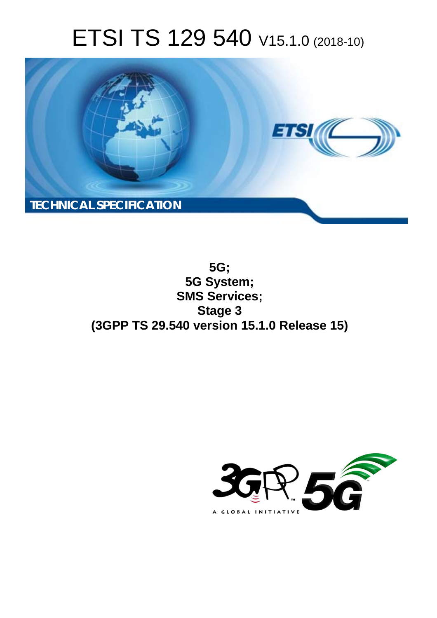# ETSI TS 129 540 V15.1.0 (2018-10)



**5G; 5G System; SMS Services; Stage 3 (3GPP TS 29.540 version 15.1.0 Release 15)** 

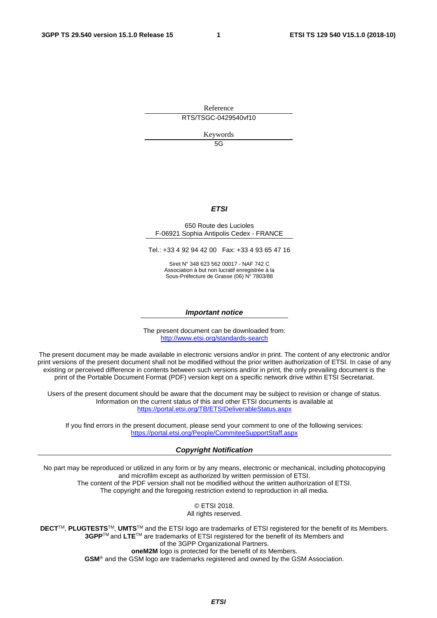Reference RTS/TSGC-0429540vf10

Keywords

 $5G$ 

#### *ETSI*

#### 650 Route des Lucioles F-06921 Sophia Antipolis Cedex - FRANCE

Tel.: +33 4 92 94 42 00 Fax: +33 4 93 65 47 16

Siret N° 348 623 562 00017 - NAF 742 C Association à but non lucratif enregistrée à la Sous-Préfecture de Grasse (06) N° 7803/88

#### *Important notice*

The present document can be downloaded from: <http://www.etsi.org/standards-search>

The present document may be made available in electronic versions and/or in print. The content of any electronic and/or print versions of the present document shall not be modified without the prior written authorization of ETSI. In case of any existing or perceived difference in contents between such versions and/or in print, the only prevailing document is the print of the Portable Document Format (PDF) version kept on a specific network drive within ETSI Secretariat.

Users of the present document should be aware that the document may be subject to revision or change of status. Information on the current status of this and other ETSI documents is available at <https://portal.etsi.org/TB/ETSIDeliverableStatus.aspx>

If you find errors in the present document, please send your comment to one of the following services: <https://portal.etsi.org/People/CommiteeSupportStaff.aspx>

#### *Copyright Notification*

No part may be reproduced or utilized in any form or by any means, electronic or mechanical, including photocopying and microfilm except as authorized by written permission of ETSI. The content of the PDF version shall not be modified without the written authorization of ETSI. The copyright and the foregoing restriction extend to reproduction in all media.

> © ETSI 2018. All rights reserved.

**DECT**TM, **PLUGTESTS**TM, **UMTS**TM and the ETSI logo are trademarks of ETSI registered for the benefit of its Members. **3GPP**TM and **LTE**TM are trademarks of ETSI registered for the benefit of its Members and of the 3GPP Organizational Partners. **oneM2M** logo is protected for the benefit of its Members.

**GSM**® and the GSM logo are trademarks registered and owned by the GSM Association.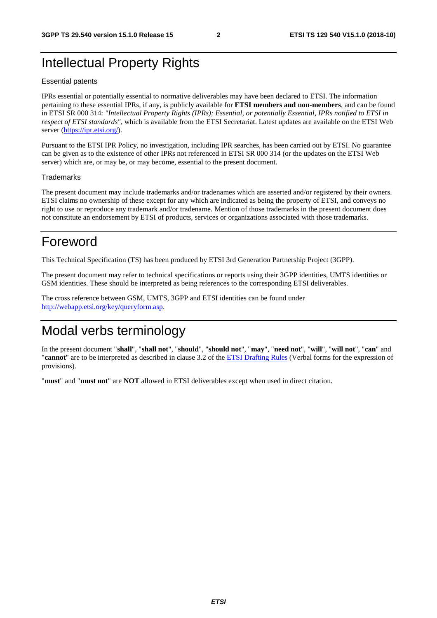# Intellectual Property Rights

#### Essential patents

IPRs essential or potentially essential to normative deliverables may have been declared to ETSI. The information pertaining to these essential IPRs, if any, is publicly available for **ETSI members and non-members**, and can be found in ETSI SR 000 314: *"Intellectual Property Rights (IPRs); Essential, or potentially Essential, IPRs notified to ETSI in respect of ETSI standards"*, which is available from the ETSI Secretariat. Latest updates are available on the ETSI Web server ([https://ipr.etsi.org/\)](https://ipr.etsi.org/).

Pursuant to the ETSI IPR Policy, no investigation, including IPR searches, has been carried out by ETSI. No guarantee can be given as to the existence of other IPRs not referenced in ETSI SR 000 314 (or the updates on the ETSI Web server) which are, or may be, or may become, essential to the present document.

#### **Trademarks**

The present document may include trademarks and/or tradenames which are asserted and/or registered by their owners. ETSI claims no ownership of these except for any which are indicated as being the property of ETSI, and conveys no right to use or reproduce any trademark and/or tradename. Mention of those trademarks in the present document does not constitute an endorsement by ETSI of products, services or organizations associated with those trademarks.

# Foreword

This Technical Specification (TS) has been produced by ETSI 3rd Generation Partnership Project (3GPP).

The present document may refer to technical specifications or reports using their 3GPP identities, UMTS identities or GSM identities. These should be interpreted as being references to the corresponding ETSI deliverables.

The cross reference between GSM, UMTS, 3GPP and ETSI identities can be found under [http://webapp.etsi.org/key/queryform.asp.](http://webapp.etsi.org/key/queryform.asp)

# Modal verbs terminology

In the present document "**shall**", "**shall not**", "**should**", "**should not**", "**may**", "**need not**", "**will**", "**will not**", "**can**" and "**cannot**" are to be interpreted as described in clause 3.2 of the [ETSI Drafting Rules](https://portal.etsi.org/Services/editHelp!/Howtostart/ETSIDraftingRules.aspx) (Verbal forms for the expression of provisions).

"**must**" and "**must not**" are **NOT** allowed in ETSI deliverables except when used in direct citation.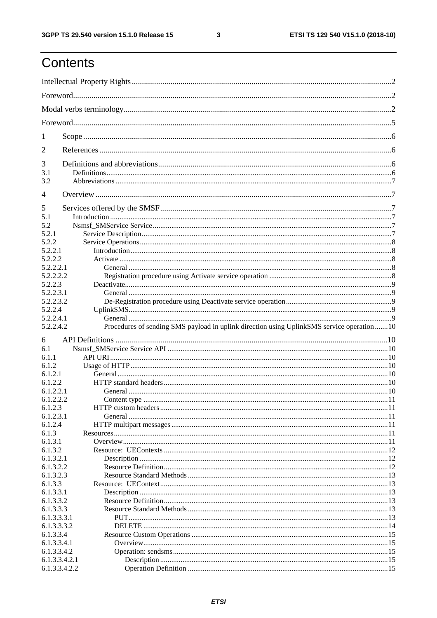ETSI TS 129 540 V15.1.0 (2018-10)

# Contents

| T                              |                                                                                           |  |
|--------------------------------|-------------------------------------------------------------------------------------------|--|
| 2                              |                                                                                           |  |
| 3                              |                                                                                           |  |
| 3.1                            |                                                                                           |  |
| 3.2                            |                                                                                           |  |
| $\overline{4}$                 |                                                                                           |  |
| 5                              |                                                                                           |  |
| 5.1                            |                                                                                           |  |
| 5.2                            |                                                                                           |  |
| 5.2.1                          |                                                                                           |  |
| 5.2.2                          |                                                                                           |  |
| 5.2.2.1                        |                                                                                           |  |
| 5.2.2.2<br>5.2.2.2.1           |                                                                                           |  |
| 5.2.2.2.2                      |                                                                                           |  |
| 5.2.2.3                        |                                                                                           |  |
| 5.2.2.3.1                      |                                                                                           |  |
| 5.2.2.3.2                      |                                                                                           |  |
| 5.2.2.4                        |                                                                                           |  |
| 5.2.2.4.1                      |                                                                                           |  |
| 5.2.2.4.2                      | Procedures of sending SMS payload in uplink direction using UplinkSMS service operation10 |  |
|                                |                                                                                           |  |
| 6                              |                                                                                           |  |
| 6.1                            |                                                                                           |  |
| 6.1.1                          |                                                                                           |  |
| 6.1.2<br>6.1.2.1               |                                                                                           |  |
| 6.1.2.2                        |                                                                                           |  |
| 6.1.2.2.1                      |                                                                                           |  |
|                                |                                                                                           |  |
|                                |                                                                                           |  |
| 6.1.2.2.2                      |                                                                                           |  |
| 6.1.2.3                        |                                                                                           |  |
| 6.1.2.3.1                      |                                                                                           |  |
| 6.1.2.4<br>6.1.3               |                                                                                           |  |
| 6.1.3.1                        |                                                                                           |  |
| 6.1.3.2                        |                                                                                           |  |
| 6.1.3.2.1                      |                                                                                           |  |
| 6.1.3.2.2                      |                                                                                           |  |
| 6.1.3.2.3                      |                                                                                           |  |
| 6.1.3.3                        |                                                                                           |  |
| 6.1.3.3.1                      |                                                                                           |  |
| 6.1.3.3.2                      |                                                                                           |  |
| 6.1.3.3.3                      |                                                                                           |  |
| 6.1.3.3.3.1                    |                                                                                           |  |
| 6.1.3.3.3.2                    |                                                                                           |  |
| 6.1.3.3.4                      |                                                                                           |  |
| 6.1.3.3.4.1                    |                                                                                           |  |
| 6.1.3.3.4.2                    |                                                                                           |  |
| 6.1.3.3.4.2.1<br>6.1.3.3.4.2.2 |                                                                                           |  |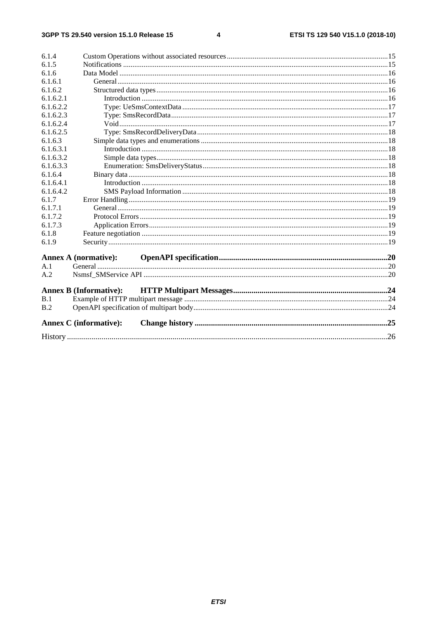#### $\overline{\mathbf{4}}$

| 6.1.4     |                               |  |
|-----------|-------------------------------|--|
| 6.1.5     |                               |  |
| 6.1.6     |                               |  |
| 6.1.6.1   |                               |  |
| 6.1.6.2   |                               |  |
| 6.1.6.2.1 |                               |  |
| 6.1.6.2.2 |                               |  |
| 6.1.6.2.3 |                               |  |
| 6.1.6.2.4 |                               |  |
| 6.1.6.2.5 |                               |  |
| 6.1.6.3   |                               |  |
| 6.1.6.3.1 |                               |  |
| 6.1.6.3.2 |                               |  |
| 6.1.6.3.3 |                               |  |
| 6.1.6.4   |                               |  |
| 6.1.6.4.1 |                               |  |
| 6.1.6.4.2 |                               |  |
| 6.1.7     |                               |  |
| 6.1.7.1   |                               |  |
| 6.1.7.2   |                               |  |
| 6.1.7.3   |                               |  |
| 6.1.8     |                               |  |
| 6.1.9     |                               |  |
|           | <b>Annex A</b> (normative):   |  |
| A.1       |                               |  |
| A.2       |                               |  |
|           | <b>Annex B (Informative):</b> |  |
| B.1       |                               |  |
| B.2       |                               |  |
|           | <b>Annex C</b> (informative): |  |
|           |                               |  |
|           |                               |  |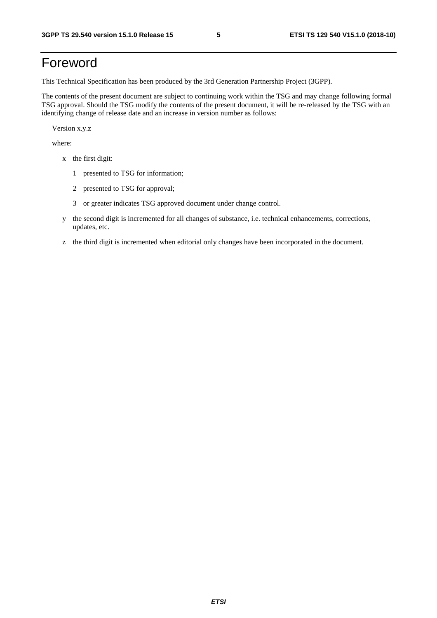# Foreword

This Technical Specification has been produced by the 3rd Generation Partnership Project (3GPP).

The contents of the present document are subject to continuing work within the TSG and may change following formal TSG approval. Should the TSG modify the contents of the present document, it will be re-released by the TSG with an identifying change of release date and an increase in version number as follows:

Version x.y.z

where:

- x the first digit:
	- 1 presented to TSG for information;
	- 2 presented to TSG for approval;
	- 3 or greater indicates TSG approved document under change control.
- y the second digit is incremented for all changes of substance, i.e. technical enhancements, corrections, updates, etc.
- z the third digit is incremented when editorial only changes have been incorporated in the document.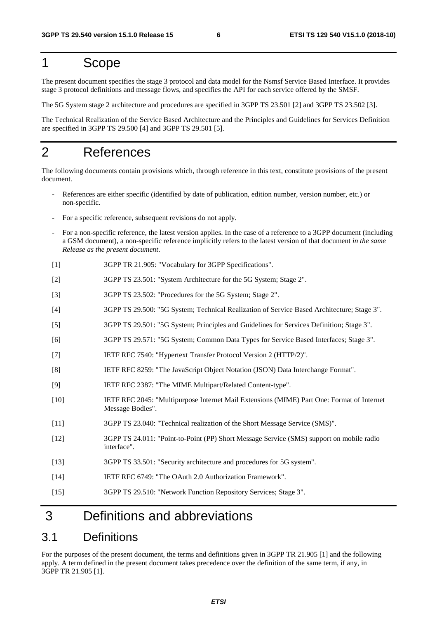# 1 Scope

The present document specifies the stage 3 protocol and data model for the Nsmsf Service Based Interface. It provides stage 3 protocol definitions and message flows, and specifies the API for each service offered by the SMSF.

The 5G System stage 2 architecture and procedures are specified in 3GPP TS 23.501 [2] and 3GPP TS 23.502 [3].

The Technical Realization of the Service Based Architecture and the Principles and Guidelines for Services Definition are specified in 3GPP TS 29.500 [4] and 3GPP TS 29.501 [5].

# 2 References

The following documents contain provisions which, through reference in this text, constitute provisions of the present document.

- References are either specific (identified by date of publication, edition number, version number, etc.) or non-specific.
- For a specific reference, subsequent revisions do not apply.
- For a non-specific reference, the latest version applies. In the case of a reference to a 3GPP document (including a GSM document), a non-specific reference implicitly refers to the latest version of that document *in the same Release as the present document*.
- [1] 3GPP TR 21.905: "Vocabulary for 3GPP Specifications".
- [2] 3GPP TS 23.501: "System Architecture for the 5G System; Stage 2".
- [3] 3GPP TS 23.502: "Procedures for the 5G System; Stage 2".
- [4] 3GPP TS 29.500: "5G System; Technical Realization of Service Based Architecture; Stage 3".
- [5] 3GPP TS 29.501: "5G System; Principles and Guidelines for Services Definition; Stage 3".
- [6] 3GPP TS 29.571: "5G System; Common Data Types for Service Based Interfaces; Stage 3".
- [7] IETF RFC 7540: "Hypertext Transfer Protocol Version 2 (HTTP/2)".
- [8] IETF RFC 8259: "The JavaScript Object Notation (JSON) Data Interchange Format".
- [9] IETF RFC 2387: "The MIME Multipart/Related Content-type".
- [10] IETF RFC 2045: "Multipurpose Internet Mail Extensions (MIME) Part One: Format of Internet Message Bodies".
- [11] 3GPP TS 23.040: "Technical realization of the Short Message Service (SMS)".
- [12] 3GPP TS 24.011: "Point-to-Point (PP) Short Message Service (SMS) support on mobile radio interface".
- [13] 3GPP TS 33.501: "Security architecture and procedures for 5G system".
- [14] IETF RFC 6749: "The OAuth 2.0 Authorization Framework".
- [15] 3GPP TS 29.510: "Network Function Repository Services; Stage 3".

# 3 Definitions and abbreviations

### 3.1 Definitions

For the purposes of the present document, the terms and definitions given in 3GPP TR 21.905 [1] and the following apply. A term defined in the present document takes precedence over the definition of the same term, if any, in 3GPP TR 21.905 [1].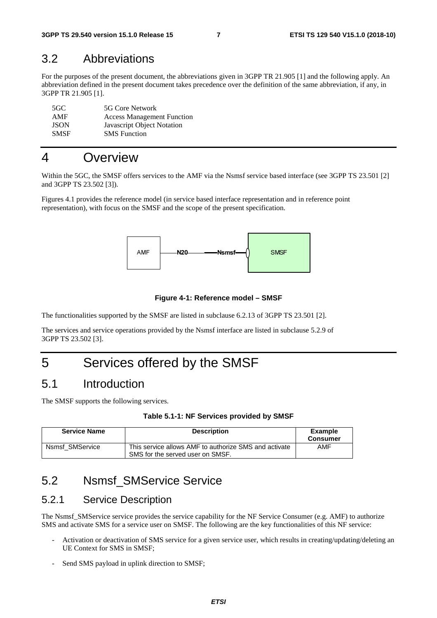### 3.2 Abbreviations

For the purposes of the present document, the abbreviations given in 3GPP TR 21.905 [1] and the following apply. An abbreviation defined in the present document takes precedence over the definition of the same abbreviation, if any, in 3GPP TR 21.905 [1].

| 5GC.        | 5G Core Network                   |
|-------------|-----------------------------------|
| AMF         | <b>Access Management Function</b> |
| <b>JSON</b> | Javascript Object Notation        |
| <b>SMSF</b> | <b>SMS</b> Function               |

# 4 Overview

Within the 5GC, the SMSF offers services to the AMF via the Nsmsf service based interface (see 3GPP TS 23.501 [2] and 3GPP TS 23.502 [3]).

Figures 4.1 provides the reference model (in service based interface representation and in reference point representation), with focus on the SMSF and the scope of the present specification.



#### **Figure 4-1: Reference model – SMSF**

The functionalities supported by the SMSF are listed in subclause 6.2.13 of 3GPP TS 23.501 [2].

The services and service operations provided by the Nsmsf interface are listed in subclause 5.2.9 of 3GPP TS 23.502 [3].

# 5 Services offered by the SMSF

### 5.1 Introduction

The SMSF supports the following services.

| Table 5.1-1: NF Services provided by SMSF |  |  |  |
|-------------------------------------------|--|--|--|
|-------------------------------------------|--|--|--|

| <b>Service Name</b> | <b>Description</b>                                                                        | Example<br><b>Consumer</b> |
|---------------------|-------------------------------------------------------------------------------------------|----------------------------|
| Nsmsf SMService     | This service allows AMF to authorize SMS and activate<br>SMS for the served user on SMSF. | AMF                        |

### 5.2 Nsmsf\_SMService Service

### 5.2.1 Service Description

The Nsmsf\_SMService service provides the service capability for the NF Service Consumer (e.g. AMF) to authorize SMS and activate SMS for a service user on SMSF. The following are the key functionalities of this NF service:

- Activation or deactivation of SMS service for a given service user, which results in creating/updating/deleting an UE Context for SMS in SMSF;
- Send SMS payload in uplink direction to SMSF;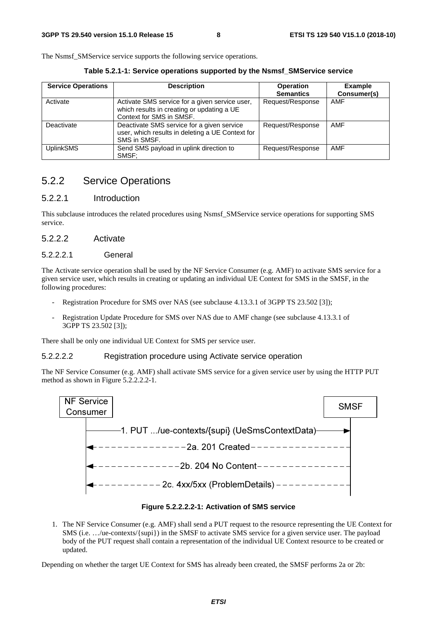The Nsmsf SMService service supports the following service operations.

**Table 5.2.1-1: Service operations supported by the Nsmsf\_SMService service** 

| <b>Service Operations</b> | <b>Description</b>                                                                                                       | <b>Operation</b><br><b>Semantics</b> | <b>Example</b><br>Consumer(s) |
|---------------------------|--------------------------------------------------------------------------------------------------------------------------|--------------------------------------|-------------------------------|
| Activate                  | Activate SMS service for a given service user,<br>which results in creating or updating a UE<br>Context for SMS in SMSF. | Request/Response                     | AMF                           |
| Deactivate                | Deactivate SMS service for a given service<br>user, which results in deleting a UE Context for<br>SMS in SMSF.           | Request/Response                     | AMF                           |
| <b>UplinkSMS</b>          | Send SMS payload in uplink direction to<br>SMSF:                                                                         | Request/Response                     | AMF                           |

### 5.2.2 Service Operations

### 5.2.2.1 Introduction

This subclause introduces the related procedures using Nsmsf\_SMService service operations for supporting SMS service.

#### 5.2.2.2 Activate

#### 5.2.2.2.1 General

The Activate service operation shall be used by the NF Service Consumer (e.g. AMF) to activate SMS service for a given service user, which results in creating or updating an individual UE Context for SMS in the SMSF, in the following procedures:

- Registration Procedure for SMS over NAS (see subclause 4.13.3.1 of 3GPP TS 23.502 [3]);
- Registration Update Procedure for SMS over NAS due to AMF change (see subclause 4.13.3.1 of 3GPP TS 23.502 [3]);

There shall be only one individual UE Context for SMS per service user.

#### 5.2.2.2.2 Registration procedure using Activate service operation

The NF Service Consumer (e.g. AMF) shall activate SMS service for a given service user by using the HTTP PUT method as shown in Figure 5.2.2.2.2-1.



#### **Figure 5.2.2.2.2-1: Activation of SMS service**

1. The NF Service Consumer (e.g. AMF) shall send a PUT request to the resource representing the UE Context for SMS (i.e. …/ue-contexts/{supi}) in the SMSF to activate SMS service for a given service user. The payload body of the PUT request shall contain a representation of the individual UE Context resource to be created or updated.

Depending on whether the target UE Context for SMS has already been created, the SMSF performs 2a or 2b: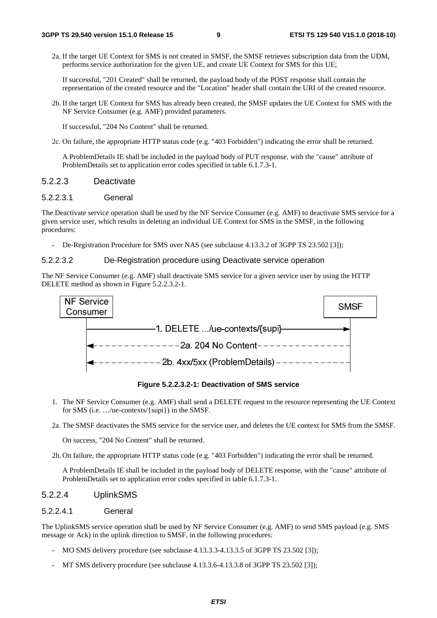2a. If the target UE Context for SMS is not created in SMSF, the SMSF retrieves subscription data from the UDM, performs service authorization for the given UE, and create UE Context for SMS for this UE;

If successful, "201 Created" shall be returned, the payload body of the POST response shall contain the representation of the created resource and the "Location" header shall contain the URI of the created resource.

2b. If the target UE Context for SMS has already been created, the SMSF updates the UE Context for SMS with the NF Service Consumer (e.g. AMF) provided parameters.

If successful, "204 No Content" shall be returned.

2c. On failure, the appropriate HTTP status code (e.g. "403 Forbidden") indicating the error shall be returned.

 A ProblemDetails IE shall be included in the payload body of PUT response, with the "cause" attribute of ProblemDetails set to application error codes specified in table 6.1.7.3-1.

#### 5.2.2.3 Deactivate

#### 5.2.2.3.1 General

The Deactivate service operation shall be used by the NF Service Consumer (e.g. AMF) to deactivate SMS service for a given service user, which results in deleting an individual UE Context for SMS in the SMSF, in the following procedures:

De-Registration Procedure for SMS over NAS (see subclause 4.13.3.2 of 3GPP TS 23.502 [3]);

#### 5.2.2.3.2 De-Registration procedure using Deactivate service operation

The NF Service Consumer (e.g. AMF) shall deactivate SMS service for a given service user by using the HTTP DELETE method as shown in Figure 5.2.2.3.2-1.



**Figure 5.2.2.3.2-1: Deactivation of SMS service** 

1. The NF Service Consumer (e.g. AMF) shall send a DELETE request to the resource representing the UE Context for SMS (i.e. …/ue-contexts/{supi}) in the SMSF.

2a. The SMSF deactivates the SMS service for the service user, and deletes the UE context for SMS from the SMSF.

On success, "204 No Content" shall be returned.

2b. On failure, the appropriate HTTP status code (e.g. "403 Forbidden") indicating the error shall be returned.

 A ProblemDetails IE shall be included in the payload body of DELETE response, with the "cause" attribute of ProblemDetails set to application error codes specified in table 6.1.7.3-1.

#### 5.2.2.4 UplinkSMS

#### 5.2.2.4.1 General

The UplinkSMS service operation shall be used by NF Service Consumer (e.g. AMF) to send SMS payload (e.g. SMS message or Ack) in the uplink direction to SMSF, in the following procedures:

- MO SMS delivery procedure (see subclause 4.13.3.3-4.13.3.5 of 3GPP TS 23.502 [3]);
- MT SMS delivery procedure (see subclause 4.13.3.6-4.13.3.8 of 3GPP TS 23.502 [3]);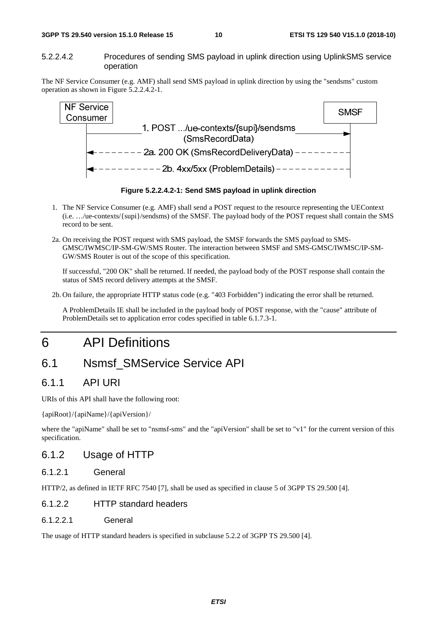#### **3GPP TS 29.540 version 15.1.0 Release 15 10 ETSI TS 129 540 V15.1.0 (2018-10)**

#### 5.2.2.4.2 Procedures of sending SMS payload in uplink direction using UplinkSMS service operation

The NF Service Consumer (e.g. AMF) shall send SMS payload in uplink direction by using the "sendsms" custom operation as shown in Figure 5.2.2.4.2-1.



**Figure 5.2.2.4.2-1: Send SMS payload in uplink direction** 

- 1. The NF Service Consumer (e.g. AMF) shall send a POST request to the resource representing the UEContext (i.e. …/ue-contexts/{supi}/sendsms) of the SMSF. The payload body of the POST request shall contain the SMS record to be sent.
- 2a. On receiving the POST request with SMS payload, the SMSF forwards the SMS payload to SMS-GMSC/IWMSC/IP-SM-GW/SMS Router. The interaction between SMSF and SMS-GMSC/IWMSC/IP-SM-GW/SMS Router is out of the scope of this specification.

If successful, "200 OK" shall be returned. If needed, the payload body of the POST response shall contain the status of SMS record delivery attempts at the SMSF.

2b. On failure, the appropriate HTTP status code (e.g. "403 Forbidden") indicating the error shall be returned.

 A ProblemDetails IE shall be included in the payload body of POST response, with the "cause" attribute of ProblemDetails set to application error codes specified in table 6.1.7.3-1.

# 6 API Definitions

# 6.1 Nsmsf\_SMService Service API

### 6.1.1 API URI

URIs of this API shall have the following root:

{apiRoot}/{apiName}/{apiVersion}/

where the "apiName" shall be set to "nsmsf-sms" and the "apiVersion" shall be set to "v1" for the current version of this specification.

### 6.1.2 Usage of HTTP

### 6.1.2.1 General

HTTP/2, as defined in IETF RFC 7540 [7], shall be used as specified in clause 5 of 3GPP TS 29.500 [4].

### 6.1.2.2 HTTP standard headers

6.1.2.2.1 General

The usage of HTTP standard headers is specified in subclause 5.2.2 of 3GPP TS 29.500 [4].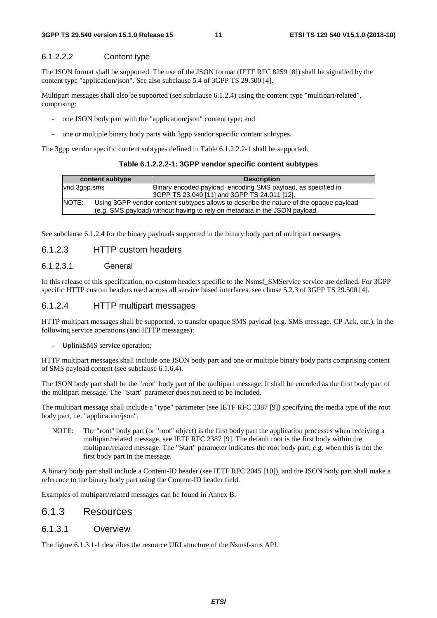#### 6.1.2.2.2 Content type

The JSON format shall be supported. The use of the JSON format (IETF RFC 8259 [8]) shall be signalled by the content type "application/json". See also subclause 5.4 of 3GPP TS 29.500 [4].

Multipart messages shall also be supported (see subclause 6.1.2.4) using the content type "multipart/related", comprising:

- one JSON body part with the "application/json" content type; and
- one or multiple binary body parts with 3gpp vendor specific content subtypes.

The 3gpp vendor specific content subtypes defined in Table 6.1.2.2.2-1 shall be supported.

| content subtype |  | <b>Description</b>                                                                     |
|-----------------|--|----------------------------------------------------------------------------------------|
| vnd.3qpp.sms    |  | Binary encoded payload, encoding SMS payload, as specified in                          |
|                 |  | 3GPP TS 23.040 [11] and 3GPP TS 24.011 [12].                                           |
| INOTE:          |  | Using 3GPP vendor content subtypes allows to describe the nature of the opaque payload |
|                 |  | (e.g. SMS payload) without having to rely on metadata in the JSON payload.             |

See subclause 6.1.2.4 for the binary payloads supported in the binary body part of multipart messages.

#### 6.1.2.3 HTTP custom headers

#### 6.1.2.3.1 General

In this release of this specification, no custom headers specific to the Nsmsf\_SMService service are defined. For 3GPP specific HTTP custom headers used across all service based interfaces, see clause 5.2.3 of 3GPP TS 29.500 [4].

#### 6.1.2.4 HTTP multipart messages

HTTP multipart messages shall be supported, to transfer opaque SMS payload (e.g. SMS message, CP Ack, etc.), in the following service operations (and HTTP messages):

UplinkSMS service operation;

HTTP multipart messages shall include one JSON body part and one or multiple binary body parts comprising content of SMS payload content (see subclause 6.1.6.4).

The JSON body part shall be the "root" body part of the multipart message. It shall be encoded as the first body part of the multipart message. The "Start" parameter does not need to be included.

The multipart message shall include a "type" parameter (see IETF RFC 2387 [9]) specifying the media type of the root body part, i.e. "application/json".

NOTE: The "root" body part (or "root" object) is the first body part the application processes when receiving a multipart/related message, see IETF RFC 2387 [9]. The default root is the first body within the multipart/related message. The "Start" parameter indicates the root body part, e.g. when this is not the first body part in the message.

A binary body part shall include a Content-ID header (see IETF RFC 2045 [10]), and the JSON body part shall make a reference to the binary body part using the Content-ID header field.

Examples of multipart/related messages can be found in Annex B.

#### 6.1.3 Resources

#### 6.1.3.1 Overview

The figure 6.1.3.1-1 describes the resource URI structure of the Nsmsf-sms API.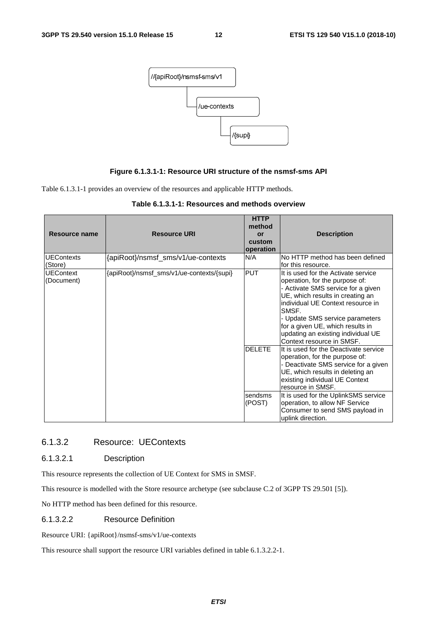

#### **Figure 6.1.3.1-1: Resource URI structure of the nsmsf-sms API**

Table 6.1.3.1-1 provides an overview of the resources and applicable HTTP methods.

| Resource name                  | <b>Resource URI</b>                       | <b>HTTP</b><br>method<br>or<br>custom<br>operation | <b>Description</b>                                                                                                                                                                                                                                                                                                                                                                                                                                                                                                               |
|--------------------------------|-------------------------------------------|----------------------------------------------------|----------------------------------------------------------------------------------------------------------------------------------------------------------------------------------------------------------------------------------------------------------------------------------------------------------------------------------------------------------------------------------------------------------------------------------------------------------------------------------------------------------------------------------|
| <b>UEContexts</b><br>(Store)   | {apiRoot}/nsmsf_sms/v1/ue-contexts        | N/A                                                | No HTTP method has been defined<br>for this resource.                                                                                                                                                                                                                                                                                                                                                                                                                                                                            |
| <b>UEContext</b><br>(Document) | {apiRoot}/nsmsf_sms/v1/ue-contexts/{supi} | <b>PUT</b><br><b>DELETE</b>                        | It is used for the Activate service<br>operation, for the purpose of:<br>- Activate SMS service for a given<br>UE, which results in creating an<br>individual UE Context resource in<br>SMSF.<br>- Update SMS service parameters<br>for a given UE, which results in<br>updating an existing individual UE<br>Context resource in SMSF.<br>It is used for the Deactivate service<br>operation, for the purpose of:<br>- Deactivate SMS service for a given<br>UE, which results in deleting an<br>existing individual UE Context |
|                                |                                           | sendsms<br>(POST)                                  | resource in SMSF.<br>It is used for the UplinkSMS service<br>operation, to allow NF Service<br>Consumer to send SMS payload in<br>uplink direction.                                                                                                                                                                                                                                                                                                                                                                              |

| Table 6.1.3.1-1: Resources and methods overview |  |
|-------------------------------------------------|--|
|-------------------------------------------------|--|

#### 6.1.3.2 Resource: UEContexts

#### 6.1.3.2.1 Description

This resource represents the collection of UE Context for SMS in SMSF.

This resource is modelled with the Store resource archetype (see subclause C.2 of 3GPP TS 29.501 [5]).

No HTTP method has been defined for this resource.

#### 6.1.3.2.2 Resource Definition

Resource URI: {apiRoot}/nsmsf-sms/v1/ue-contexts

This resource shall support the resource URI variables defined in table 6.1.3.2.2-1.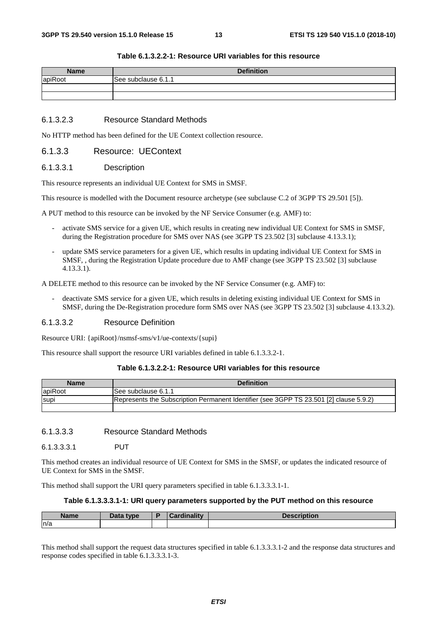| <b>Name</b> | <b>Definition</b>   |
|-------------|---------------------|
| apiRoot     | See subclause 6.1.1 |
|             |                     |
|             |                     |

#### **Table 6.1.3.2.2-1: Resource URI variables for this resource**

#### 6.1.3.2.3 Resource Standard Methods

No HTTP method has been defined for the UE Context collection resource.

#### 6.1.3.3 Resource: UEContext

#### 6.1.3.3.1 Description

This resource represents an individual UE Context for SMS in SMSF.

This resource is modelled with the Document resource archetype (see subclause C.2 of 3GPP TS 29.501 [5]).

A PUT method to this resource can be invoked by the NF Service Consumer (e.g. AMF) to:

- activate SMS service for a given UE, which results in creating new individual UE Context for SMS in SMSF, during the Registration procedure for SMS over NAS (see 3GPP TS 23.502 [3] subclause 4.13.3.1);
- update SMS service parameters for a given UE, which results in updating individual UE Context for SMS in SMSF, , during the Registration Update procedure due to AMF change (see 3GPP TS 23.502 [3] subclause 4.13.3.1).

A DELETE method to this resource can be invoked by the NF Service Consumer (e.g. AMF) to:

- deactivate SMS service for a given UE, which results in deleting existing individual UE Context for SMS in SMSF, during the De-Registration procedure form SMS over NAS (see 3GPP TS 23.502 [3] subclause 4.13.3.2).

#### 6.1.3.3.2 Resource Definition

Resource URI: {apiRoot}/nsmsf-sms/v1/ue-contexts/{supi}

This resource shall support the resource URI variables defined in table 6.1.3.3.2-1.

#### **Table 6.1.3.2.2-1: Resource URI variables for this resource**

| <b>Name</b> | <b>Definition</b>                                                                      |
|-------------|----------------------------------------------------------------------------------------|
| lapiRoot    | ISee subclause 6.1.1                                                                   |
| <b>Supi</b> | Represents the Subscription Permanent Identifier (see 3GPP TS 23.501 [2] clause 5.9.2) |
|             |                                                                                        |

#### 6.1.3.3.3 Resource Standard Methods

6.1.3.3.3.1 PUT

This method creates an individual resource of UE Context for SMS in the SMSF, or updates the indicated resource of UE Context for SMS in the SMSF.

This method shall support the URI query parameters specified in table 6.1.3.3.3.1-1.

#### **Table 6.1.3.3.3.1-1: URI query parameters supported by the PUT method on this resource**

| <b>Name</b> | Data type | ъ | inality | <b>Saaarintian</b> |
|-------------|-----------|---|---------|--------------------|
| n/a         |           |   |         |                    |

This method shall support the request data structures specified in table 6.1.3.3.3.1-2 and the response data structures and response codes specified in table 6.1.3.3.3.1-3.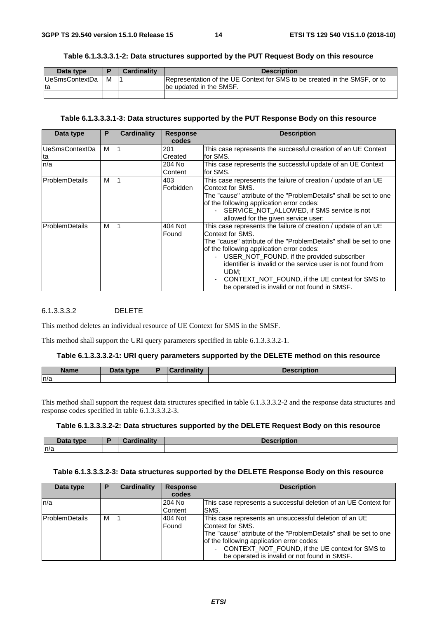| Data type              |   | <b>Cardinality</b> | <b>Description</b>                                                        |
|------------------------|---|--------------------|---------------------------------------------------------------------------|
| <b>IUeSmsContextDa</b> | м |                    | Representation of the UE Context for SMS to be created in the SMSF, or to |
| Ita                    |   |                    | be updated in the SMSF.                                                   |
|                        |   |                    |                                                                           |

#### **Table 6.1.3.3.3.1-2: Data structures supported by the PUT Request Body on this resource**

#### **Table 6.1.3.3.3.1-3: Data structures supported by the PUT Response Body on this resource**

| Data type             | P | <b>Cardinality</b> | <b>Response</b> | <b>Description</b>                                                |  |
|-----------------------|---|--------------------|-----------------|-------------------------------------------------------------------|--|
|                       |   |                    | codes           |                                                                   |  |
| <b>UeSmsContextDa</b> | м |                    | 201             | This case represents the successful creation of an UE Context     |  |
| ta                    |   |                    | Created         | lfor SMS.                                                         |  |
| n/a                   |   |                    | 204 No          | This case represents the successful update of an UE Context       |  |
|                       |   |                    | Content         | for SMS.                                                          |  |
| ProblemDetails        | м |                    | 403             | This case represents the failure of creation / update of an UE    |  |
|                       |   |                    | Forbidden       | lContext for SMS.                                                 |  |
|                       |   |                    |                 | The "cause" attribute of the "ProblemDetails" shall be set to one |  |
|                       |   |                    |                 | of the following application error codes:                         |  |
|                       |   |                    |                 | SERVICE_NOT_ALLOWED, if SMS service is not                        |  |
|                       |   |                    |                 | allowed for the given service user;                               |  |
| <b>ProblemDetails</b> | м |                    | 404 Not         | This case represents the failure of creation / update of an UE    |  |
|                       |   |                    | Found           | Context for SMS.                                                  |  |
|                       |   |                    |                 | The "cause" attribute of the "ProblemDetails" shall be set to one |  |
|                       |   |                    |                 | of the following application error codes:                         |  |
|                       |   |                    |                 | USER_NOT_FOUND, if the provided subscriber<br>$\sim$              |  |
|                       |   |                    |                 | identifier is invalid or the service user is not found from       |  |
|                       |   |                    |                 | UDM;                                                              |  |
|                       |   |                    |                 | CONTEXT_NOT_FOUND, if the UE context for SMS to                   |  |
|                       |   |                    |                 | be operated is invalid or not found in SMSF.                      |  |

#### 6.1.3.3.3.2 DELETE

This method deletes an individual resource of UE Context for SMS in the SMSF.

This method shall support the URI query parameters specified in table 6.1.3.3.3.2-1.

#### **Table 6.1.3.3.3.2-1: URI query parameters supported by the DELETE method on this resource**

| <b>Name</b> | <b>Pata type</b> | <b>Pardinality</b> | <b>Description</b> |
|-------------|------------------|--------------------|--------------------|
| n/a         |                  |                    |                    |

This method shall support the request data structures specified in table 6.1.3.3.3.2-2 and the response data structures and response codes specified in table 6.1.3.3.3.2-3.

#### **Table 6.1.3.3.3.2-2: Data structures supported by the DELETE Request Body on this resource**

| $R_{\rm{min}}$<br>+vne<br>$-$ uu | <b>The Contract Contract Contract Contract</b><br>`ord | <b>DASCTI.</b><br>uon |
|----------------------------------|--------------------------------------------------------|-----------------------|
| ln/a                             |                                                        |                       |

#### **Table 6.1.3.3.3.2-3: Data structures supported by the DELETE Response Body on this resource**

| Data type              | Р | Cardinality | <b>Response</b> | <b>Description</b>                                                |
|------------------------|---|-------------|-----------------|-------------------------------------------------------------------|
|                        |   |             | codes           |                                                                   |
| n/a                    |   |             | 204 No          | This case represents a successful deletion of an UE Context for   |
|                        |   |             | Content         | SMS.                                                              |
| <b>IProblemDetails</b> | м |             | 404 Not         | This case represents an unsuccessful deletion of an UE            |
|                        |   |             | Found           | Context for SMS.                                                  |
|                        |   |             |                 | The "cause" attribute of the "ProblemDetails" shall be set to one |
|                        |   |             |                 | of the following application error codes:                         |
|                        |   |             |                 | CONTEXT_NOT_FOUND, if the UE context for SMS to                   |
|                        |   |             |                 | be operated is invalid or not found in SMSF.                      |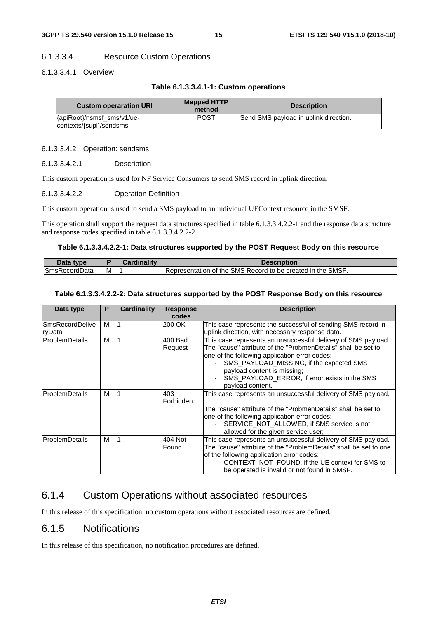#### 6.1.3.3.4 Resource Custom Operations

#### 6.1.3.3.4.1 Overview

|  |  |  |  |  | Table 6.1.3.3.4.1-1: Custom operations |
|--|--|--|--|--|----------------------------------------|
|--|--|--|--|--|----------------------------------------|

| <b>Custom operaration URI</b>                         | <b>Mapped HTTP</b><br>method | <b>Description</b>                    |
|-------------------------------------------------------|------------------------------|---------------------------------------|
| {apiRoot}/nsmsf_sms/v1/ue-<br>contexts/{supi}/sendsms | <b>POST</b>                  | Send SMS payload in uplink direction. |

#### 6.1.3.3.4.2 Operation: sendsms

6.1.3.3.4.2.1 Description

This custom operation is used for NF Service Consumers to send SMS record in uplink direction.

#### 6.1.3.3.4.2.2 Operation Definition

This custom operation is used to send a SMS payload to an individual UEContext resource in the SMSF.

This operation shall support the request data structures specified in table 6.1.3.3.4.2.2-1 and the response data structure and response codes specified in table 6.1.3.3.4.2.2-2.

#### **Table 6.1.3.3.4.2.2-1: Data structures supported by the POST Request Body on this resource**

| Data type            |   | <b>Description</b>                                          |
|----------------------|---|-------------------------------------------------------------|
| <b>SmsRecordData</b> | M | Representation of the SMS Record to be created in the SMSF. |

#### **Table 6.1.3.3.4.2.2-2: Data structures supported by the POST Response Body on this resource**

| Data type                        | P | Cardinality | <b>Response</b><br>codes | <b>Description</b>                                                                                                                                                                                                                                                                                                              |
|----------------------------------|---|-------------|--------------------------|---------------------------------------------------------------------------------------------------------------------------------------------------------------------------------------------------------------------------------------------------------------------------------------------------------------------------------|
| <b>SmsRecordDelive</b><br>ryData | м |             | 200 OK                   | This case represents the successful of sending SMS record in<br>uplink direction, with necessary response data.                                                                                                                                                                                                                 |
| <b>ProblemDetails</b>            | м |             | 400 Bad<br>Request       | This case represents an unsuccessful delivery of SMS payload.<br>The "cause" attribute of the "ProbmenDetails" shall be set to<br>one of the following application error codes:<br>SMS_PAYLOAD_MISSING, if the expected SMS<br>payload content is missing;<br>SMS_PAYLOAD_ERROR, if error exists in the SMS<br>payload content. |
| <b>ProblemDetails</b>            | м |             | 403<br>Forbidden         | This case represents an unsuccessful delivery of SMS payload.<br>The "cause" attribute of the "ProbmenDetails" shall be set to<br>one of the following application error codes:<br>SERVICE_NOT_ALLOWED, if SMS service is not<br>allowed for the given service user;                                                            |
| <b>ProblemDetails</b>            | м |             | 404 Not<br>Found         | This case represents an unsuccessful delivery of SMS payload.<br>The "cause" attribute of the "ProblemDetails" shall be set to one<br>of the following application error codes:<br>CONTEXT NOT FOUND, if the UE context for SMS to<br>be operated is invalid or not found in SMSF.                                              |

### 6.1.4 Custom Operations without associated resources

In this release of this specification, no custom operations without associated resources are defined.

### 6.1.5 Notifications

In this release of this specification, no notification procedures are defined.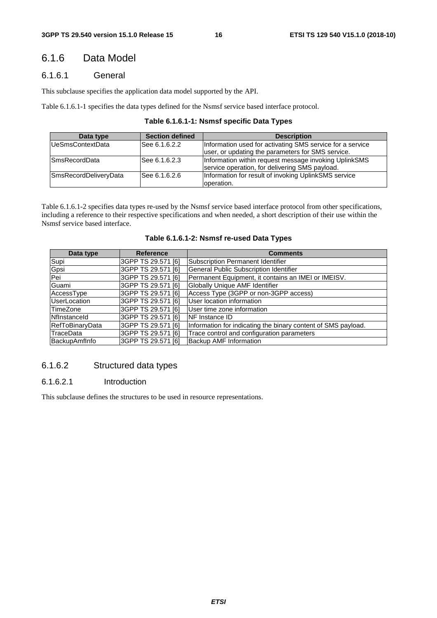### 6.1.6 Data Model

#### 6.1.6.1 General

This subclause specifies the application data model supported by the API.

Table 6.1.6.1-1 specifies the data types defined for the Nsmsf service based interface protocol.

#### **Table 6.1.6.1-1: Nsmsf specific Data Types**

| Data type             | <b>Section defined</b> | <b>Description</b>                                                                                              |
|-----------------------|------------------------|-----------------------------------------------------------------------------------------------------------------|
| UeSmsContextData      | See 6.1.6.2.2          | Information used for activating SMS service for a service<br>luser, or updating the parameters for SMS service. |
| <b>SmsRecordData</b>  | lSee 6.1.6.2.3         | Information within request message invoking UplinkSMS<br>service operation, for delivering SMS payload.         |
| SmsRecordDeliveryData | lSee 6.1.6.2.6         | Information for result of invoking UplinkSMS service<br>loperation.                                             |

Table 6.1.6.1-2 specifies data types re-used by the Nsmsf service based interface protocol from other specifications, including a reference to their respective specifications and when needed, a short description of their use within the Nsmsf service based interface.

| Table 6.1.6.1-2: Nsmsf re-used Data Types |  |  |  |  |
|-------------------------------------------|--|--|--|--|
|-------------------------------------------|--|--|--|--|

| Data type              | <b>Reference</b>   | <b>Comments</b>                                               |
|------------------------|--------------------|---------------------------------------------------------------|
| Supi                   | 3GPP TS 29.571 [6] | <b>Subscription Permanent Identifier</b>                      |
| Gpsi                   | 3GPP TS 29.571 [6] | General Public Subscription Identifier                        |
| Pei                    | 3GPP TS 29.571 [6] | Permanent Equipment, it contains an IMEI or IMEISV.           |
| Guami                  | 3GPP TS 29.571 [6] | Globally Unique AMF Identifier                                |
| AccessType             | 3GPP TS 29.571 [6] | Access Type (3GPP or non-3GPP access)                         |
| <b>UserLocation</b>    | 3GPP TS 29.571 [6] | User location information                                     |
| TimeZone               | 3GPP TS 29.571 [6] | User time zone information                                    |
| Nflnstanceld           | 3GPP TS 29.571 [6] | <b>INF Instance ID</b>                                        |
| <b>RefToBinaryData</b> | 3GPP TS 29.571 [6] | Information for indicating the binary content of SMS payload. |
| TraceData              | 3GPP TS 29.571 [6] | Trace control and configuration parameters                    |
| BackupAmfInfo          | 3GPP TS 29.571 [6] | Backup AMF Information                                        |

#### 6.1.6.2 Structured data types

#### 6.1.6.2.1 Introduction

This subclause defines the structures to be used in resource representations.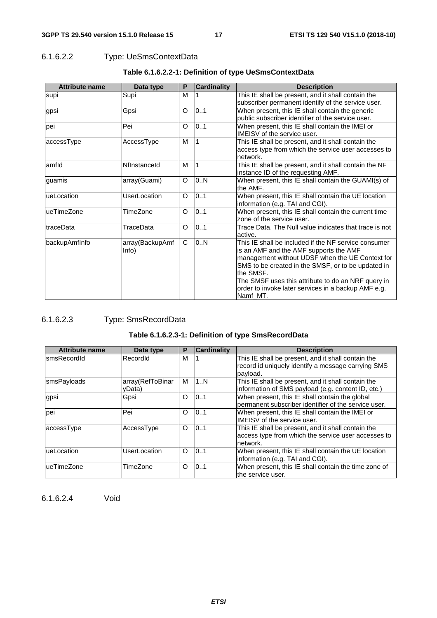### 6.1.6.2.2 Type: UeSmsContextData

| <b>Attribute name</b> | Data type                | P            | <b>Cardinality</b> | <b>Description</b>                                                                                                                                                                                                                                                                                                                            |
|-----------------------|--------------------------|--------------|--------------------|-----------------------------------------------------------------------------------------------------------------------------------------------------------------------------------------------------------------------------------------------------------------------------------------------------------------------------------------------|
| supi                  | Supi                     | м            |                    | This IE shall be present, and it shall contain the<br>subscriber permanent identify of the service user.                                                                                                                                                                                                                                      |
| gpsi                  | Gpsi                     | O            | 0.1                | When present, this IE shall contain the generic<br>public subscriber identifier of the service user.                                                                                                                                                                                                                                          |
| pei                   | Pei                      | O            | 0.1                | When present, this IE shall contain the IMEI or<br><b>IMEISV</b> of the service user.                                                                                                                                                                                                                                                         |
| accessType            | AccessType               | М            |                    | This IE shall be present, and it shall contain the<br>access type from which the service user accesses to<br>network.                                                                                                                                                                                                                         |
| amfld                 | Nflnstanceld             | м            |                    | This IE shall be present, and it shall contain the NF<br>instance ID of the requesting AMF.                                                                                                                                                                                                                                                   |
| guamis                | array(Guami)             | O            | 0N                 | When present, this IE shall contain the GUAMI(s) of<br>the AMF.                                                                                                                                                                                                                                                                               |
| ueLocation            | UserLocation             | O            | 0.1                | When present, this IE shall contain the UE location<br>information (e.g. TAI and CGI).                                                                                                                                                                                                                                                        |
| ueTimeZone            | TimeZone                 | 0.1<br>O     |                    | When present, this IE shall contain the current time<br>zone of the service user.                                                                                                                                                                                                                                                             |
| traceData             | TraceData                | $\circ$      | 0.1                | Trace Data. The Null value indicates that trace is not<br>active.                                                                                                                                                                                                                                                                             |
| backupAmfInfo         | array(BackupAmf<br>Info) | $\mathsf{C}$ | 0.N                | This IE shall be included if the NF service consumer<br>is an AMF and the AMF supports the AMF<br>management without UDSF when the UE Context for<br>SMS to be created in the SMSF, or to be updated in<br>the SMSF.<br>The SMSF uses this attribute to do an NRF query in<br>order to invoke later services in a backup AMF e.g.<br>Namf MT. |

### **Table 6.1.6.2.2-1: Definition of type UeSmsContextData**

### 6.1.6.2.3 Type: SmsRecordData

### **Table 6.1.6.2.3-1: Definition of type SmsRecordData**

| <b>Attribute name</b> | Data type        | P        | <b>Cardinality</b> | <b>Description</b>                                   |
|-----------------------|------------------|----------|--------------------|------------------------------------------------------|
| smsRecordId           | RecordId         | M        |                    | This IE shall be present, and it shall contain the   |
|                       |                  |          |                    | record id uniquely identify a message carrying SMS   |
|                       |                  |          |                    | payload.                                             |
| smsPayloads           | array(RefToBinar | м        | 1N                 | This IE shall be present, and it shall contain the   |
|                       | yData)           |          |                    | information of SMS payload (e.g. content ID, etc.)   |
| gpsi                  | Gpsi             | O        | 101                | When present, this IE shall contain the global       |
|                       |                  |          |                    | permanent subscriber identifier of the service user. |
| pei                   | Pei              | $\circ$  | 101                | When present, this IE shall contain the IMEI or      |
|                       |                  |          |                    | IMEISV of the service user.                          |
| accessType            | AccessType       | O        | 10.1               | This IE shall be present, and it shall contain the   |
|                       |                  |          |                    | access type from which the service user accesses to  |
|                       |                  |          |                    | network.                                             |
| ueLocation            | UserLocation     | $\circ$  | 0.1                | When present, this IE shall contain the UE location  |
|                       |                  |          |                    | information (e.g. TAI and CGI).                      |
| ueTimeZone            | TimeZone         | $\Omega$ | 101                | When present, this IE shall contain the time zone of |
|                       |                  |          |                    | the service user.                                    |

6.1.6.2.4 Void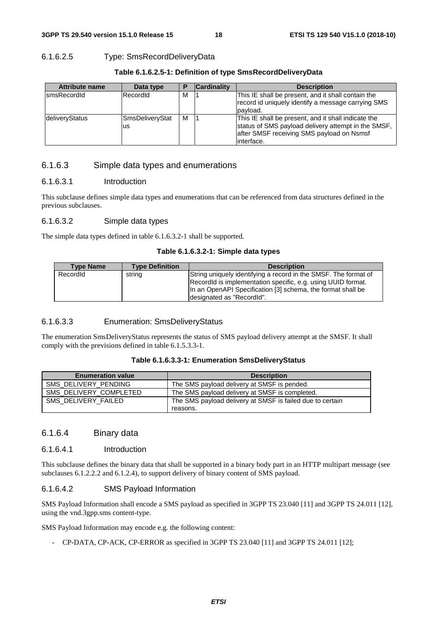#### 6.1.6.2.5 Type: SmsRecordDeliveryData

| Table 6.1.6.2.5-1: Definition of type SmsRecordDeliveryData |  |
|-------------------------------------------------------------|--|
|-------------------------------------------------------------|--|

| <b>Attribute name</b> | Data type              |   | <b>Cardinality</b> | <b>Description</b>                                                                                                                                                     |
|-----------------------|------------------------|---|--------------------|------------------------------------------------------------------------------------------------------------------------------------------------------------------------|
| IsmsRecordId          | RecordId               | M |                    | This IE shall be present, and it shall contain the<br>record id uniquely identify a message carrying SMS<br>payload.                                                   |
| deliveryStatus        | SmsDeliveryStat<br>lus | м |                    | This IE shall be present, and it shall indicate the<br>status of SMS payload delivery attempt in the SMSF,<br>after SMSF receiving SMS payload on Nsmsf<br>linterface. |

#### 6.1.6.3 Simple data types and enumerations

#### 6.1.6.3.1 Introduction

This subclause defines simple data types and enumerations that can be referenced from data structures defined in the previous subclauses.

#### 6.1.6.3.2 Simple data types

The simple data types defined in table 6.1.6.3.2-1 shall be supported.

#### **Table 6.1.6.3.2-1: Simple data types**

| <b>Type Name</b> | <b>Type Definition</b> | <b>Description</b>                                                                                                                                                                                                          |
|------------------|------------------------|-----------------------------------------------------------------------------------------------------------------------------------------------------------------------------------------------------------------------------|
| Recordid         | string                 | String uniquely identifying a record in the SMSF. The format of<br>RecordId is implementation specific, e.g. using UUID format.<br>In an OpenAPI Specification [3] schema, the format shall be<br>designated as "Recordid". |

#### 6.1.6.3.3 Enumeration: SmsDeliveryStatus

The enumeration SmsDeliveryStatus represents the status of SMS payload delivery attempt at the SMSF. It shall comply with the previsions defined in table 6.1.5.3.3-1.

#### **Table 6.1.6.3.3-1: Enumeration SmsDeliveryStatus**

| <b>Enumeration value</b> | <b>Description</b>                                        |
|--------------------------|-----------------------------------------------------------|
| SMS_DELIVERY_PENDING     | The SMS payload delivery at SMSF is pended.               |
| SMS DELIVERY COMPLETED   | The SMS payload delivery at SMSF is completed.            |
| SMS DELIVERY FAILED      | The SMS payload delivery at SMSF is failed due to certain |
|                          | reasons.                                                  |

#### 6.1.6.4 Binary data

#### 6.1.6.4.1 Introduction

This subclause defines the binary data that shall be supported in a binary body part in an HTTP multipart message (see subclauses 6.1.2.2.2 and 6.1.2.4), to support delivery of binary content of SMS payload.

#### 6.1.6.4.2 SMS Payload Information

SMS Payload Information shall encode a SMS payload as specified in 3GPP TS 23.040 [11] and 3GPP TS 24.011 [12], using the vnd.3gpp.sms content-type.

SMS Payload Information may encode e.g. the following content:

- CP-DATA, CP-ACK, CP-ERROR as specified in 3GPP TS 23.040 [11] and 3GPP TS 24.011 [12];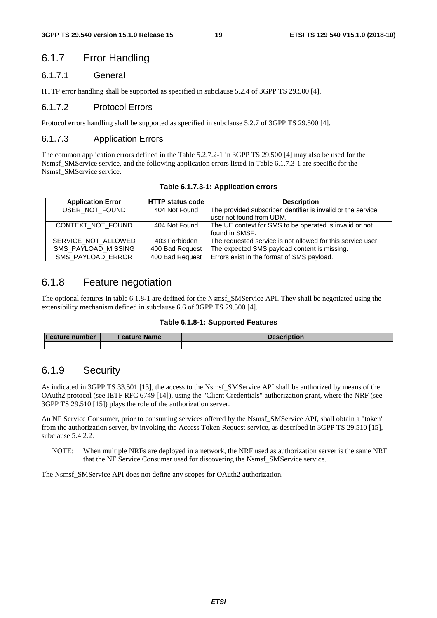### 6.1.7 Error Handling

#### 6.1.7.1 General

HTTP error handling shall be supported as specified in subclause 5.2.4 of 3GPP TS 29.500 [4].

#### 6.1.7.2 Protocol Errors

Protocol errors handling shall be supported as specified in subclause 5.2.7 of 3GPP TS 29.500 [4].

#### 6.1.7.3 Application Errors

The common application errors defined in the Table 5.2.7.2-1 in 3GPP TS 29.500 [4] may also be used for the Nsmsf\_SMService service, and the following application errors listed in Table 6.1.7.3-1 are specific for the Nsmsf\_SMService service.

|  |  | Table 6.1.7.3-1: Application errors |  |
|--|--|-------------------------------------|--|
|--|--|-------------------------------------|--|

| <b>Application Error</b> | <b>HTTP status code</b> | <b>Description</b>                                           |
|--------------------------|-------------------------|--------------------------------------------------------------|
| USER NOT FOUND           | 404 Not Found           | The provided subscriber identifier is invalid or the service |
|                          |                         | luser not found from UDM.                                    |
| CONTEXT NOT FOUND        | 404 Not Found           | The UE context for SMS to be operated is invalid or not      |
|                          |                         | found in SMSF.                                               |
| SERVICE_NOT_ALLOWED      | 403 Forbidden           | The requested service is not allowed for this service user.  |
| SMS_PAYLOAD_MISSING      | 400 Bad Request         | The expected SMS payload content is missing.                 |
| SMS_PAYLOAD_ERROR        | 400 Bad Request         | Errors exist in the format of SMS payload.                   |

### 6.1.8 Feature negotiation

The optional features in table 6.1.8-1 are defined for the Nsmsf\_SMService API. They shall be negotiated using the extensibility mechanism defined in subclause 6.6 of 3GPP TS 29.500 [4].

#### **Table 6.1.8-1: Supported Features**

| <b>Feature number</b> | Feature Name | <b>Description</b> |
|-----------------------|--------------|--------------------|
|                       |              |                    |

### 6.1.9 Security

As indicated in 3GPP TS 33.501 [13], the access to the Nsmsf\_SMService API shall be authorized by means of the OAuth2 protocol (see IETF RFC 6749 [14]), using the "Client Credentials" authorization grant, where the NRF (see 3GPP TS 29.510 [15]) plays the role of the authorization server.

An NF Service Consumer, prior to consuming services offered by the Nsmsf\_SMService API, shall obtain a "token" from the authorization server, by invoking the Access Token Request service, as described in 3GPP TS 29.510 [15], subclause 5.4.2.2.

NOTE: When multiple NRFs are deployed in a network, the NRF used as authorization server is the same NRF that the NF Service Consumer used for discovering the Nsmsf\_SMService service.

The Nsmsf SMService API does not define any scopes for OAuth2 authorization.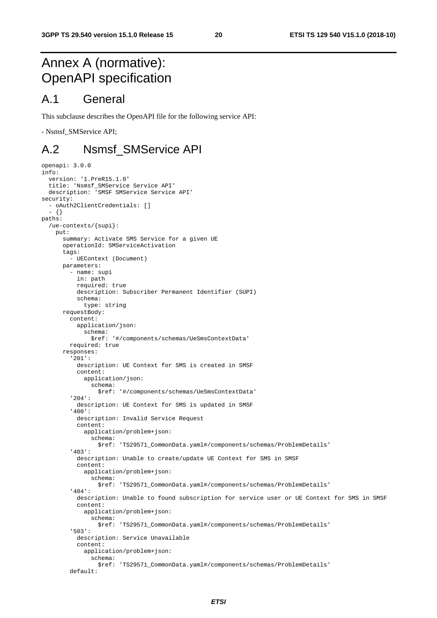# Annex A (normative): OpenAPI specification

### A.1 General

This subclause describes the OpenAPI file for the following service API:

- Nsmsf\_SMService API;

### A.2 Nsmsf\_SMService API

```
openapi: 3.0.0 
info: 
   version: '1.PreR15.1.0' 
 title: 'Nsmsf_SMService Service API' 
 description: 'SMSF SMService Service API' 
security: 
   - oAuth2ClientCredentials: [] 
   - {} 
paths: 
   /ue-contexts/{supi}: 
     put: 
       summary: Activate SMS Service for a given UE 
       operationId: SMServiceActivation 
       tags: 
          - UEContext (Document) 
       parameters: 
          - name: supi 
           in: path 
           required: true 
           description: Subscriber Permanent Identifier (SUPI) 
           schema: 
             type: string 
       requestBody: 
         content: 
           application/json: 
              schema: 
                $ref: '#/components/schemas/UeSmsContextData' 
         required: true 
       responses: 
          '201': 
           description: UE Context for SMS is created in SMSF 
            content: 
              application/json: 
                schema: 
                  $ref: '#/components/schemas/UeSmsContextData' 
          '204': 
           description: UE Context for SMS is updated in SMSF 
          '400': 
           description: Invalid Service Request 
            content: 
              application/problem+json: 
                schema: 
                  $ref: 'TS29571_CommonData.yaml#/components/schemas/ProblemDetails' 
          '403': 
           description: Unable to create/update UE Context for SMS in SMSF 
           content: 
              application/problem+json: 
                schema: 
                  $ref: 'TS29571_CommonData.yaml#/components/schemas/ProblemDetails' 
          '404': 
            description: Unable to found subscription for service user or UE Context for SMS in SMSF 
           content: 
              application/problem+json: 
                schema: 
                  $ref: 'TS29571_CommonData.yaml#/components/schemas/ProblemDetails' 
          '503': 
           description: Service Unavailable 
           content: 
              application/problem+json: 
                schema: 
                  $ref: 'TS29571_CommonData.yaml#/components/schemas/ProblemDetails' 
          default:
```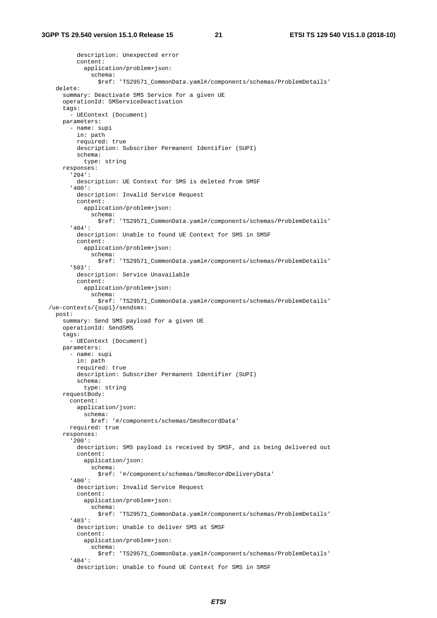description: Unexpected error content: application/problem+json: schema: \$ref: 'TS29571\_CommonData.yaml#/components/schemas/ProblemDetails' delete: summary: Deactivate SMS Service for a given UE operationId: SMServiceDeactivation tags: - UEContext (Document) parameters: - name: supi in: path required: true description: Subscriber Permanent Identifier (SUPI) schema: type: string responses: '204': description: UE Context for SMS is deleted from SMSF '400': description: Invalid Service Request content: application/problem+json: schema: \$ref: 'TS29571\_CommonData.yaml#/components/schemas/ProblemDetails' '404': description: Unable to found UE Context for SMS in SMSF content: application/problem+json: schema: \$ref: 'TS29571\_CommonData.yaml#/components/schemas/ProblemDetails' '503': description: Service Unavailable content: application/problem+json: schema: \$ref: 'TS29571\_CommonData.yaml#/components/schemas/ProblemDetails' /ue-contexts/{supi}/sendsms: post: summary: Send SMS payload for a given UE operationId: SendSMS tags: - UEContext (Document) parameters: - name: supi in: path required: true description: Subscriber Permanent Identifier (SUPI) schema: type: string requestBody: content: application/json: schema: \$ref: '#/components/schemas/SmsRecordData' required: true responses: '200': description: SMS payload is received by SMSF, and is being delivered out content: application/json: schema: \$ref: '#/components/schemas/SmsRecordDeliveryData' '400': description: Invalid Service Request content: application/problem+json: schema: \$ref: 'TS29571\_CommonData.yaml#/components/schemas/ProblemDetails' '403': description: Unable to deliver SMS at SMSF content: application/problem+json: schema: \$ref: 'TS29571\_CommonData.yaml#/components/schemas/ProblemDetails' '404': description: Unable to found UE Context for SMS in SMSF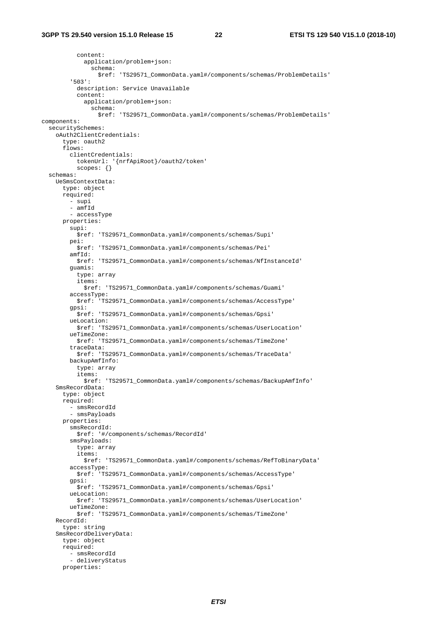content: application/problem+json: schema: \$ref: 'TS29571\_CommonData.yaml#/components/schemas/ProblemDetails' '503': description: Service Unavailable content: application/problem+json: schema: \$ref: 'TS29571\_CommonData.yaml#/components/schemas/ProblemDetails' components: securitySchemes: oAuth2ClientCredentials: type: oauth2 flows: clientCredentials: tokenUrl: '{nrfApiRoot}/oauth2/token' scopes: {} schemas: UeSmsContextData: type: object required: - supi - amfId - accessType properties: supi: \$ref: 'TS29571\_CommonData.yaml#/components/schemas/Supi' pei: \$ref: 'TS29571\_CommonData.yaml#/components/schemas/Pei' amfId: \$ref: 'TS29571\_CommonData.yaml#/components/schemas/NfInstanceId' guamis: type: array items: \$ref: 'TS29571\_CommonData.yaml#/components/schemas/Guami' accessType: \$ref: 'TS29571\_CommonData.yaml#/components/schemas/AccessType' gpsi: \$ref: 'TS29571\_CommonData.yaml#/components/schemas/Gpsi' ueLocation: \$ref: 'TS29571\_CommonData.yaml#/components/schemas/UserLocation' ueTimeZone: \$ref: 'TS29571\_CommonData.yaml#/components/schemas/TimeZone' traceData: \$ref: 'TS29571\_CommonData.yaml#/components/schemas/TraceData' backupAmfInfo: type: array items: \$ref: 'TS29571\_CommonData.yaml#/components/schemas/BackupAmfInfo' SmsRecordData: type: object required: - smsRecordId - smsPayloads properties: smsRecordId: \$ref: '#/components/schemas/RecordId' smsPayloads: type: array items: \$ref: 'TS29571\_CommonData.yaml#/components/schemas/RefToBinaryData' accessType: \$ref: 'TS29571\_CommonData.yaml#/components/schemas/AccessType' gpsi: \$ref: 'TS29571\_CommonData.yaml#/components/schemas/Gpsi' ueLocation: \$ref: 'TS29571\_CommonData.yaml#/components/schemas/UserLocation' ueTimeZone: \$ref: 'TS29571\_CommonData.yaml#/components/schemas/TimeZone' RecordId: type: string SmsRecordDeliveryData: type: object required: - smsRecordId - deliveryStatus properties: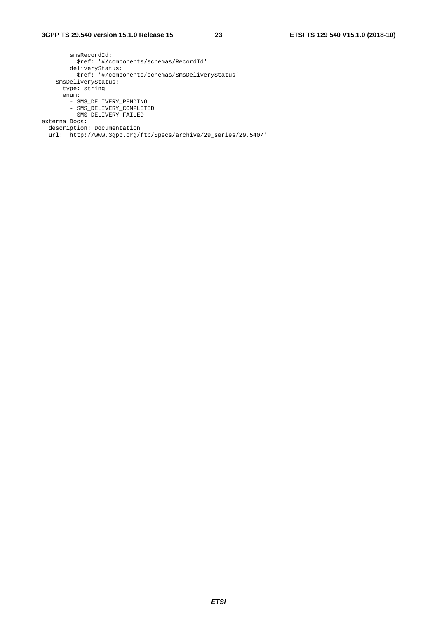smsRecordId: \$ref: '#/components/schemas/RecordId' deliveryStatus: \$ref: '#/components/schemas/SmsDeliveryStatus' SmsDeliveryStatus: type: string enum: - SMS\_DELIVERY\_PENDING - SMS\_DELIVERY\_COMPLETED - SMS\_DELIVERY\_FAILED externalDocs: description: Documentation url: 'http://www.3gpp.org/ftp/Specs/archive/29\_series/29.540/'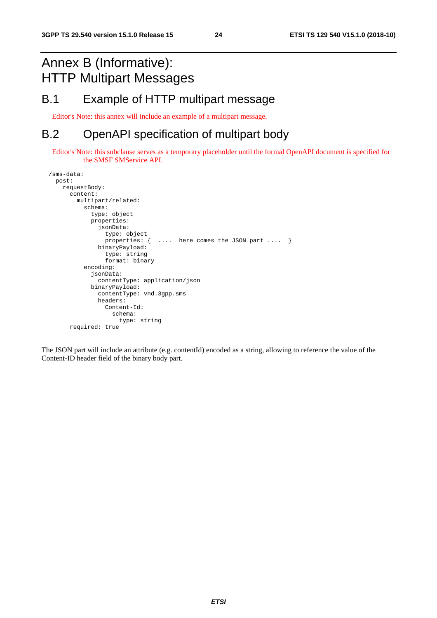# Annex B (Informative): HTTP Multipart Messages

# B.1 Example of HTTP multipart message

Editor's Note: this annex will include an example of a multipart message.

# B.2 OpenAPI specification of multipart body

Editor's Note: this subclause serves as a temporary placeholder until the formal OpenAPI document is specified for the SMSF SMService API.

```
 /sms-data: 
  post: 
    requestBody: 
       content: 
         multipart/related: 
            schema: 
              type: object 
              properties: 
                jsonData: 
                   type: object 
                  properties: { .... here comes the JSON part .... } 
                binaryPayload: 
                  type: string 
                   format: binary 
            encoding: 
              jsonData: 
                contentType: application/json 
              binaryPayload: 
                contentType: vnd.3gpp.sms 
                headers: 
                  Content-Id: 
                     schema: 
                       type: string 
       required: true
```
The JSON part will include an attribute (e.g. contentId) encoded as a string, allowing to reference the value of the Content-ID header field of the binary body part.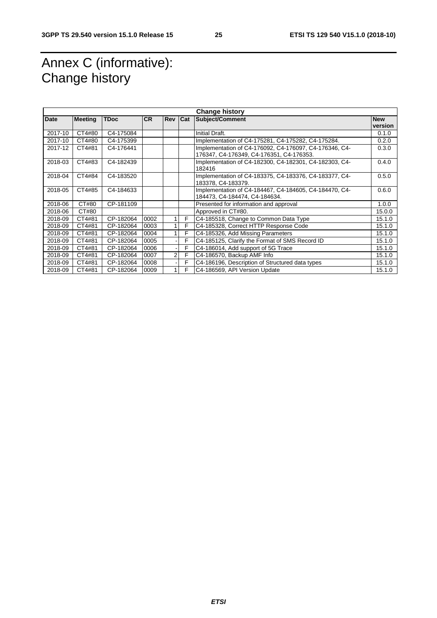# Annex C (informative): Change history

| <b>Change history</b> |                |             |           |                |     |                                                                                                    |            |
|-----------------------|----------------|-------------|-----------|----------------|-----|----------------------------------------------------------------------------------------------------|------------|
| Date                  | <b>Meeting</b> | <b>TDoc</b> | <b>CR</b> | Rev            | Cat | <b>Subject/Comment</b>                                                                             | <b>New</b> |
|                       |                |             |           |                |     |                                                                                                    | version    |
| 2017-10               | CT4#80         | C4-175084   |           |                |     | Initial Draft.                                                                                     | 0.1.0      |
| 2017-10               | CT4#80         | C4-175399   |           |                |     | Implementation of C4-175281, C4-175282, C4-175284.                                                 | 0.2.0      |
| 2017-12               | CT4#81         | C4-176441   |           |                |     | Implementation of C4-176092, C4-176097, C4-176346, C4-<br>176347, C4-176349, C4-176351, C4-176353. | 0.3.0      |
| 2018-03               | CT4#83         | C4-182439   |           |                |     | Implementation of C4-182300, C4-182301, C4-182303, C4-<br>182416                                   | 0.4.0      |
| 2018-04               | CT4#84         | C4-183520   |           |                |     | Implementation of C4-183375, C4-183376, C4-183377, C4-<br>183378, C4-183379.                       | 0.5.0      |
| 2018-05               | CT4#85         | C4-184633   |           |                |     | Implementation of C4-184467, C4-184605, C4-184470, C4-<br>184473, C4-184474, C4-184634.            | 0.6.0      |
| 2018-06               | CT#80          | CP-181109   |           |                |     | Presented for information and approval                                                             | 1.0.0      |
| 2018-06               | CT#80          |             |           |                |     | Approved in CT#80.                                                                                 | 15.0.0     |
| 2018-09               | CT4#81         | CP-182064   | 0002      |                | F   | C4-185518, Change to Common Data Type                                                              | 15.1.0     |
| 2018-09               | CT4#81         | CP-182064   | 0003      | 1 <sup>1</sup> | F   | C4-185328, Correct HTTP Response Code                                                              | 15.1.0     |
| 2018-09               | CT4#81         | CP-182064   | 0004      | 1 <sup>1</sup> | F   | C4-185326, Add Missing Parameters                                                                  | 15.1.0     |
| 2018-09               | CT4#81         | CP-182064   | 0005      |                | F   | C4-185125, Clarify the Format of SMS Record ID                                                     | 15.1.0     |
| 2018-09               | CT4#81         | CP-182064   | 0006      | $\blacksquare$ | F   | C4-186014, Add support of 5G Trace                                                                 | 15.1.0     |
| 2018-09               | CT4#81         | CP-182064   | 0007      | 2 <sub>l</sub> | F   | C4-186570, Backup AMF Info                                                                         | 15.1.0     |
| 2018-09               | CT4#81         | CP-182064   | 0008      |                | F   | C4-186196, Description of Structured data types                                                    | 15.1.0     |
| 2018-09               | CT4#81         | CP-182064   | 0009      | 1 <sup>1</sup> | F   | C4-186569, API Version Update                                                                      | 15.1.0     |